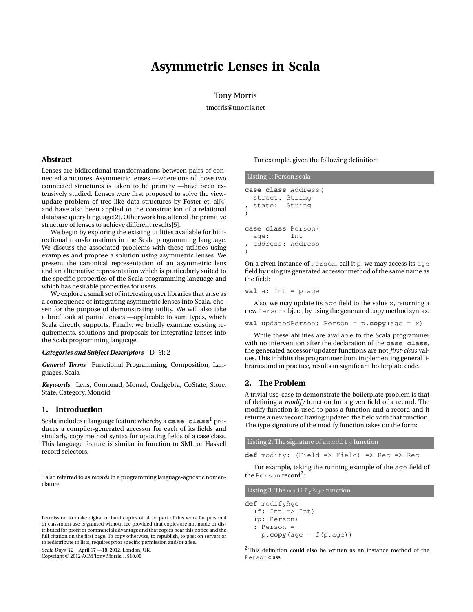# **Asymmetric Lenses in Scala**

Tony Morris

tmorris@tmorris.net

## **Abstract**

Lenses are bidirectional transformations between pairs of connected structures. Asymmetric lenses —where one of those two connected structures is taken to be primary —have been extensively studied. Lenses were first proposed to solve the viewupdate problem of tree-like data structures by Foster et. al[\[4](#page-9-0)] and have also been applied to the construction of a relational database query language[\[2](#page-9-1)]. Other work has altered the primitive structure of lenses to achieve different results[\[5](#page-9-2)].

We begin by exploring the existing utilities available for bidirectional transformations in the Scala programming language. We discuss the associated problems with these utilities using examples and propose a solution using asymmetric lenses. We present the canonical representation of an asymmetric lens and an alternative representation which is particularly suited to the specific properties of the Scala programming language and which has desirable properties for users.

We explore a small set of interesting user libraries that arise as a consequence of integrating asymmetric lenses into Scala, chosen for the purpose of demonstrating utility. We will also take a brief look at partial lenses —applicable to sum types, which Scala directly supports. Finally, we briefly examine existing requirements, solutions and proposals for integrating lenses into the Scala programming language.

#### *Categories and Subject Descriptors* D [*3*]: 2

*General Terms* Functional Programming, Composition, Languages, Scala

*Keywords* Lens, Comonad, Monad, Coalgebra, CoState, Store, State, Category, Monoid

# **1. Introduction**

Scala includes a language feature whereby a **case class**[1](#page-0-0) produces a compiler-generated accessor for each of its fields and similarly, copy method syntax for updating fields of a case class. This language feature is similar in function to SML or Haskell record selectors.

Scala Days '12 April 17 —18, 2012, London, UK.

Copyright © 2012 ACM Tony Morris. . . \$10.00

For example, given the following definition:

```
Listing 1: Person.scala
case class Address(
  street: String
 state: String
)
case class Person(
  age: Int
 , address: Address
)
```
On a given instance of Person, call it p, we may access its age field by using its generated accessor method of the same name as the field:

**val** a: Int = p.age

Also, we may update its age field to the value x, returning a new Person object, by using the generated copy method syntax:

**val** updatedPerson: Person = p.**copy**(age = x)

While these abilities are available to the Scala programmer with no intervention after the declaration of the **case class**, the generated accessor/updater functions are not *first-class* values. This inhibits the programmer from implementing general libraries and in practice, results in significant boilerplate code.

## **2. The Problem**

A trivial use-case to demonstrate the boilerplate problem is that of defining a *modify* function for a given field of a record. The modify function is used to pass a function and a record and it returns a new record having updated the field with that function. The type signature of the modify function takes on the form:

Listing 2: The signature of a modify function

**def** modify: (Field => Field) => Rec => Rec

For example, taking the running example of the age field of the <code>Person</code> record<sup>[2](#page-0-1)</sup>:

Listing 3: The modifyAge function

**def** modifyAge  $(f: Int \Rightarrow Int)$ (p: Person) : Person =  $p \cdot copy(\text{age} = f(p \cdot \text{age}))$ 

<span id="page-0-1"></span><sup>2</sup> This definition could also be written as an instance method of the Person class.

<span id="page-0-0"></span><sup>1</sup> also referred to as *records* in a programming language-agnostic nomenclature

Permission to make digital or hard copies of all or part of this work for personal or classroom use is granted without fee provided that copies are not made or distributed for profit or commercial advantage and that copies bear this notice and the full citation on the first page. To copy otherwise, to republish, to post on servers or to redistribute to lists, requires prior specific permission and/or a fee.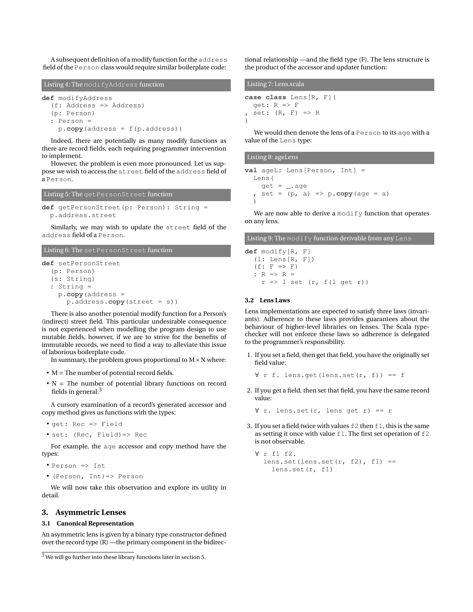A subsequent definition of a modify function for the address field of the Person class would require similar boilerplate code:

Listing 4: The modifyAddress function **def** modifyAddress (f: Address => Address) (p: Person) : Person = p.**copy**(address = f(p.address))

Indeed, there are potentially as many modify functions as there are record fields, each requiring programmer intervention to implement.

However, the problem is even more pronounced. Let us suppose we wish to access the street field of the address field of a Person.

```
Listing 5: The getPersonStreet function
```
**def** getPersonStreet(p: Person): String = p.address.street

Similarly, we may wish to update the street field of the address field of a Person.

# Listing 6: The setPersonStreet function

```
def setPersonStreet
  (p: Person)
  (s: String)
  : String =
    p.copy(address =
      p.address.copy(street = s))
```
There is also another potential modify function for a Person's (indirect) street field. This particular undesirable consequence is not experienced when modelling the program design to use mutable fields, however, if we are to strive for the benefits of immutable records, we need to find a way to alleviate this issue of laborious boilerplate code.

In summary, the problem grows proportional to  $M \times N$  where:

- M = The number of potential record fields.
- $N =$  The number of potential library functions on record fields in general. $3$

A cursory examination of a record's generated accessor and copy method gives us functions with the types:

```
• get: Rec => Field
```

```
• set: (Rec, Field)=> Rec
```
For example, the age accessor and copy method have the types:

```
\bullet Person \Rightarrow Tnt
```
• (Person, Int)=> Person

We will now take this observation and explore its utility in detail.

# **3. Asymmetric Lenses**

## **3.1 Canonical Representation**

An asymmetric lens is given by a binary type constructor defined over the record type (R) —the primary component in the bidirectional relationship —and the field type (F). The lens structure is the product of the accessor and updater function:

| Listing 7: Lens.scala |                                                      |  |  |  |  |  |  |  |
|-----------------------|------------------------------------------------------|--|--|--|--|--|--|--|
|                       | <b>case class</b> Lens[R, F](                        |  |  |  |  |  |  |  |
|                       | $qet: R \Rightarrow F$<br>, set: $(R, F) \implies R$ |  |  |  |  |  |  |  |
|                       |                                                      |  |  |  |  |  |  |  |

We would then denote the lens of a Person to its age with a value of the Lens type:

# Listing 8: ageLens **val** ageL: Lens[Person, Int] = Lens(  $get = _ . . a$ get  $set = (p, a) \Rightarrow p \cdot copy(\text{age} = a)$

We are now able to derive a modify function that operates on any lens.

### Listing 9: The modify function derivable from any Lens

**def** modify[R, F]  $(l: Lens[R, F])$  $(f: F \Rightarrow F)$ :  $R \Rightarrow R =$  $r \Rightarrow 1$  set  $(r, f(1 \text{ get } r))$ 

#### **3.2 Lens Laws**

)

Lens implementations are expected to satisfy three laws (invariants). Adherence to these laws provides guarantees about the behaviour of higher-level libraries on lenses. The Scala typechecker will not enforce these laws so adherence is delegated to the programmer's responsibility.

1. If you set a field, then get that field, you have the originally set field value:

 $\forall$  r f. lens.get(lens.set(r, f)) == f

2. If you get a field, then set that field, you have the same record value:

∀ r. lens.set(r, lens get r) == r

3. If you set a field twice with values  $\pm 2$  then  $\pm 1$ , this is the same as setting it once with value f1. The first set operation of f2 is not observable.

```
∀ r f1 f2.
  lens.set(lens.set(r, f2), f1) ==
    lens.set(r, f1)
```
<span id="page-1-0"></span><sup>3</sup> We will go further into these library functions later in section [5.](#page-4-0)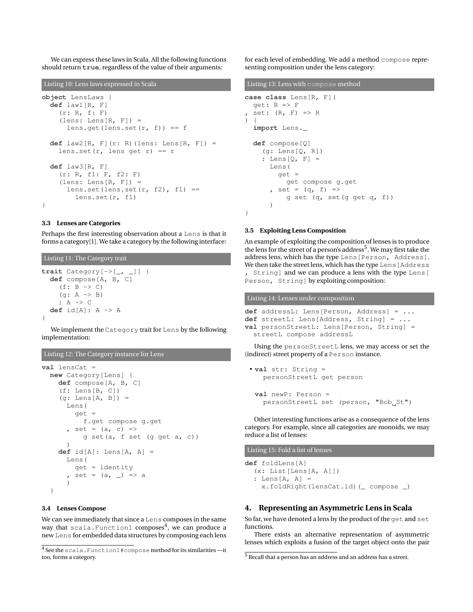We can express these laws in Scala. All the following functions should return **true**, regardless of the value of their arguments:

Listing 10: Lens laws expressed in Scala

```
object LensLaws {
  def law1[R, F]
    (r: R, f: F)lens: Lens[R, F]) =
      lens.get(lens.set(r, f)) == f
  def law2[R, F](r: R)(lens: Lens[R, F]) =
    lens.set(r, lens get r) == r
  def law3[R, F]
    (r: R, f1: F, f2: F)
    lens: Lens[R, F]) =lens.set(lens.set(r, f2), f1) ==
        lens.set(r, f1)
}
```
#### **3.3 Lenses are Categories**

Perhaps the first interesting observation about a Lens is that it forms a category[\[1](#page-9-3)]. We take a category by the following interface:

Listing 11: The Category trait

```
trait Category[~>[_, _]] {
  def compose[A, B, C]
    (f: B \sim > C)(g: A \sim B): A ~> C
  def id[A]: A ~> A
}
```
We implement the Category trait for Lens by the following implementation:

```
Listing 12: The Category instance for Lens
```

```
val lensCat =
  new Category[Lens] {
    def compose[A, B, C]
    (f: Lens[B, C])
    (g: Lens[A, B]) =Lens(
        get =
          f.get compose g.get
       set = (a, c) \Rightarrowg set(a, f set (g get a, c))
      )
    def id[A]: Lens[A, A] =
      Lens(
        qet = identity, set = (a, ) => a
      )
  }
```
# **3.4 Lenses Compose**

We can see immediately that since a Lens composes in the same way that scala.Function1 composes $\!4$  $\!4$ , we can produce a new Lens for embedded data structures by composing each lens for each level of embedding. We add a method compose representing composition under the lens category:

```
Listing 13: Lens with compose method
```

```
case class Lens[R, F](
  get: R => F
  set: (R, F) \Rightarrow R) {
  import Lens._
  def compose[Q]
    (q: Lens[Q, R]): Lens[Q, F] =Lens(
        get =
           get compose g.get
      , set = (q, f) =>
          g set (q, set(g get q, f))
      \lambda}
```
### **3.5 Exploiting Lens Composition**

An example of exploiting the composition of lenses is to produce the lens for the street of a person's address<sup>[5](#page-2-1)</sup>. We may first take the address lens, which has the type Lens[Person, Address]. We then take the street lens, which has the type Lens [Address] , String] and we can produce a lens with the type Lens[ Person, String] by exploiting composition:

Listing 14: Lenses under composition

```
def addressL: Lens[Person, Address] = ...
def streetL: Lens[Address, String] = ...
val personStreetL: Lens[Person, String] =
  streetL compose addressL
```
Using the personStreetL lens, we may access or set the (indirect) street property of a Person instance.

```
• val str: String =
   personStreetL get person
 val newP: Person =
   personStreetL set (person, "Bob_St")
```
Other interesting functions arise as a consequence of the lens category. For example, since all categories are monoids, we may reduce a list of lenses:

Listing 15: Fold a list of lenses

**def** foldLens[A] (x: List[Lens[A, A]]) : Lens[A, A] = x.foldRight(lensCat.id)(\_ compose \_)

# **4. Representing an Asymmetric Lens in Scala**

So far, we have denoted a lens by the product of the get and set functions.

There exists an alternative representation of asymmetric lenses which exploits a fusion of the target object onto the pair

<span id="page-2-0"></span><sup>4</sup> See the scala.Function1#compose method for its similarities —it too, forms a category.

<span id="page-2-1"></span><sup>5</sup> Recall that a person has an address and an address has a street.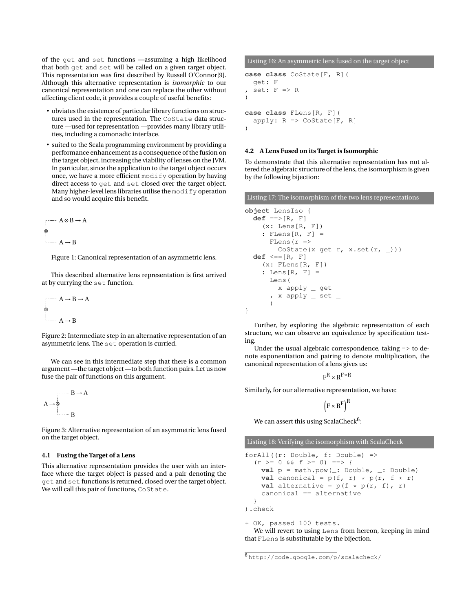of the get and set functions —assuming a high likelihood that both get and set will be called on a given target object. This representation was first described by Russell O'Connor[\[9](#page-9-4)]. Although this alternative representation is *isomorphic* to our canonical representation and one can replace the other without affecting client code, it provides a couple of useful benefits:

- obviates the existence of particular library functions on structures used in the representation. The CoState data structure —used for representation —provides many library utilities, including a comonadic interface.
- suited to the Scala programming environment by providing a performance enhancement as a consequence of the fusion on the target object, increasing the viability of lenses on the JVM. In particular, since the application to the target object occurs once, we have a more efficient modify operation by having direct access to get and set closed over the target object. Many higher-level lens libraries utilise the modify operation and so would acquire this benefit.

$$
A \otimes B \to A
$$
  

$$
\otimes
$$
  

$$
A \to B
$$

Figure 1: Canonical representation of an asymmetric lens.

This described alternative lens representation is first arrived at by currying the set function.

$$
A \rightarrow B \rightarrow A
$$
  
 
$$
\bullet
$$
  
 
$$
A \rightarrow B
$$

Figure 2: Intermediate step in an alternative representation of an asymmetric lens. The set operation is curried.

We can see in this intermediate step that there is a common argument —the target object —to both function pairs. Let us now fuse the pair of functions on this argument.



Figure 3: Alternative representation of an asymmetric lens fused on the target object.

#### **4.1 Fusing the Target of a Lens**

This alternative representation provides the user with an interface where the target object is passed and a pair denoting the get and set functions is returned, closed over the target object. We will call this pair of functions, CoState.

Listing 16: An asymmetric lens fused on the target object

```
case class CoState[F, R](
  get: F
  set: F \Rightarrow R)
case class FLens[R, F](
  apply: R \Rightarrow Costate[F, R])
```
#### **4.2 A Lens Fused on its Target is Isomorphic**

To demonstrate that this alternative representation has not altered the algebraic structure of the lens, the isomorphism is given by the following bijection:

Listing 17: The isomorphism of the two lens representations

```
object LensIso {
  def ==>[R, F](x: Lens[R, F])
    : FLens[R, F] =
      FLens (r =>
        CoState(x get r, x.set(r, _)))
  def <==[R, F]
    (x: Flens[R, F]): Lens[R, F] =
      Lens(
        x apply _ get
      , x apply _ set _
      )
}
```
Further, by exploring the algebraic representation of each structure, we can observe an equivalence by specification testing.

Under the usual algebraic correspondence, taking => to denote exponentiation and pairing to denote multiplication, the canonical representation of a lens gives us:

 $F^R \times R^{F \times R}$ 

Similarly, for our alternative representation, we have:

$$
\left(\mathbf{F} \times \mathbf{R}^{\mathrm{F}}\right)^{\mathrm{R}}
$$

We can assert this using ScalaCheck $^6$  $^6$ :

Listing 18: Verifying the isomorphism with ScalaCheck

forAll((r: Double, f: Double) =>  $(r > = 0 \& f \in \mathbb{R}$  = 0) = > { **val** p = math.pow(\_: Double, \_: Double) **val** canonical =  $p(f, r) * p(r, f * r)$ **val** alternative =  $p(f \star p(r, f), r)$ canonical == alternative } ).check

+ OK, passed 100 tests. We will revert to using Lens from hereon, keeping in mind that FLens is substitutable by the bijection.

<span id="page-3-0"></span><sup>6</sup> <http://code.google.com/p/scalacheck/>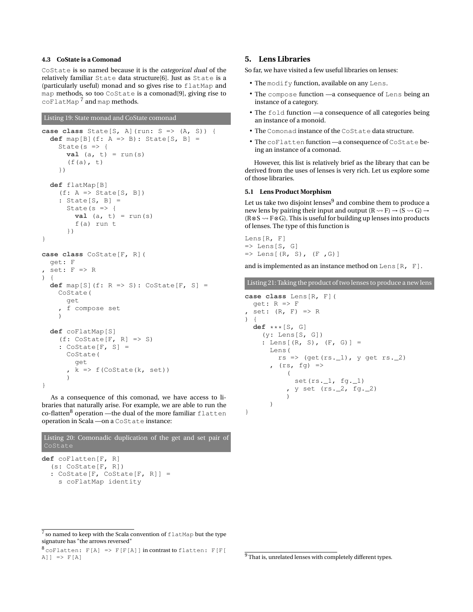# **4.3 CoState is a Comonad**

CoState is so named because it is the *categorical dual* of the relatively familiar State data structure[\[6\]](#page-9-5). Just as State is a (particularly useful) monad and so gives rise to flatMap and map methods, so too CoState is a comonad[\[9](#page-9-4)], giving rise to coFlatMap<sup>[7](#page-4-1)</sup> and map methods.

## Listing 19: State monad and CoState comonad

```
case class State[S, A](run: S => (A, S)) {
  def map[B](f: A => B): State[S, B] =
    State(s \Rightarrow {
       val (a, t) = run(s)(f(a), t)})
  def flatMap[B]
    (f: A \Rightarrow State[S, B]): State[S, B] =
       State(s \Rightarrow {
         val (a, t) = run(s)f(a) run t
       })
}
case class CoState[F, R](
  get: F
 set: F \Rightarrow R\lambdadef map[S](f: R => S): CoState[F, S] =
    CoState(
       get
       , f compose set
     )
  def coFlatMap[S]
    (f: \text{CoState}[F, R] \Rightarrow S): Costate[F, S] =CoState(
         get
       , k \Rightarrow f(CoState(k, set))
       \lambda}
```
As a consequence of this comonad, we have access to libraries that naturally arise. For example, we are able to run the co-flatten<sup>[8](#page-4-2)</sup> operation —the dual of the more familiar flatten operation in Scala —on a CoState instance:

Listing 20: Comonadic duplication of the get and set pair of **def** coFlatten[F, R] (s: CoState[F, R]) : CoState[F, CoState[F, R]] = s coFlatMap identity

# <span id="page-4-0"></span>**5. Lens Libraries**

So far, we have visited a few useful libraries on lenses:

- The modify function, available on any Lens.
- The compose function —a consequence of Lens being an instance of a category.
- The fold function —a consequence of all categories being an instance of a monoid.
- The Comonad instance of the CoState data structure.
- The coFlatten function —a consequence of CoState being an instance of a comonad.

However, this list is relatively brief as the library that can be derived from the uses of lenses is very rich. Let us explore some of those libraries.

#### **5.1 Lens Product Morphism**

Let us take two disjoint lenses $^9$  $^9$  and combine them to produce a new lens by pairing their input and output  $(R \rightarrow F) \rightarrow (S \rightarrow G) \rightarrow$ (R⊗S  $\rightsquigarrow$  F⊗G). This is useful for building up lenses into products of lenses. The type of this function is

```
Lens[R, F]
\Rightarrow Lens[S, G]
\Rightarrow Lens[(R, S), (F, G)]
```
and is implemented as an instance method on Lens [R, F].

Listing 21: Taking the product of two lenses to produce a new lens

```
case class Lens[R, F](
  get: R => F
 set: (R, F) \Rightarrow R) {
  def ***[S, G]
    (y: Lens[S, G])
    : Lens[(R, S), (F, G)] =Lens(
        rs => (get(rs.-1), y get rs.-2)
      , (rs, fg) =>
          (
            set(rs.-1, fg.-1), y set (rs._2, fg._2))
      )
}
```
<span id="page-4-2"></span> $8$  coFlatten: F[A] => F[F[A]] in contrast to flatten: F[F[  $A$ ]]  $\Rightarrow$   $F[A]$ 

<span id="page-4-3"></span><sup>9</sup> That is, unrelated lenses with completely different types.

<span id="page-4-1"></span> $^7$  so named to keep with the Scala convention of  $\texttt{flatMap}$  but the type signature has "the arrows reversed"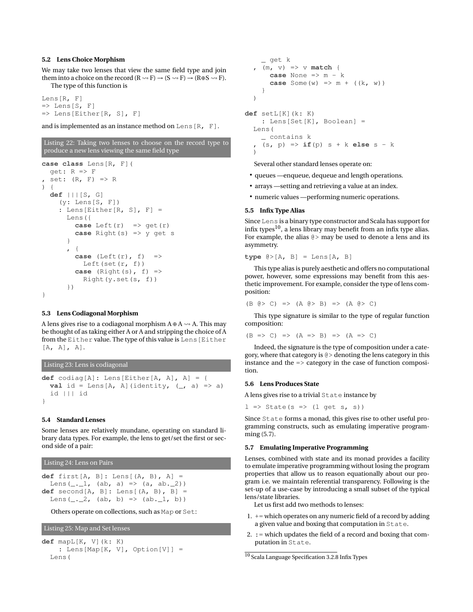#### **5.2 Lens Choice Morphism**

We may take two lenses that view the same field type and join them into a choice on the record  $(R \leadsto F) \rightarrow (S \leadsto F) \rightarrow (R \oplus S \leadsto F)$ . The type of this function is

```
Lens[R, F]
\Rightarrow Lens[S, F]
\Rightarrow Lens[Either[R, S], F]
```
and is implemented as an instance method on Lens  $[R, F]$ .

```
Listing 22: Taking two lenses to choose on the record type to
produce a new lens viewing the same field type
case class Lens[R, F](
```

```
get: R \Rightarrow Fset: (R, F) \Rightarrow R\lambdadef |||[S, G]
     (y: Lens[S, F])
    : Lens [Either [R, S], F] =
      Lens({
         case Left(r) \Rightarrow get(r)case Right(s) => y get s
       }
       , {
         case (Left(r), f) =>
           Left(set(r, f))
         case (Right(s), f) =>
           Right(y.set(s, f))})
}
```
#### **5.3 Lens Codiagonal Morphism**

A lens gives rise to a codiagonal morphism  $A \oplus A \rightarrow A$ . This may be thought of as taking either A or A and stripping the choice of A from the Either value. The type of this value is Lens[Either  $[A, A], A].$ 

```
Listing 23: Lens is codiagonal
def codiag[A]: Lens[Either[A, A], A] = {
  val id = Lens[A, A](identity, (\_, a) => a)
  id ||| id
}
```
#### **5.4 Standard Lenses**

Some lenses are relatively mundane, operating on standard library data types. For example, the lens to get/set the first or second side of a pair:

Listing 24: Lens on Pairs

```
def first[A, B]: Lens[(A, B), A] =
  Lens(\_1 \_1, \_1) (ab, a) => (a, ab.(2))
def second[A, B]: Lens[(A, B), B] =
  Lens(-2, 2, (ab, b) =>(ab, 1, b))
```
Others operate on collections, such as Map or Set:

Listing 25: Map and Set lenses

```
def mapL[K, V](k: K)
    : Lens[Map[K, V], Option[V]] =
  Lens(
```

```
_ get k
  , (m, v) => v match {
      case None \Rightarrow m - kcase Some (w) \implies m + ((k, w))}
  )
def setL[K](k: K)
    : Lens[Set[K], Boolean] =
  Lens(
    _ contains k
    , (s, p) => if(p) s + k else s - k
```
Several other standard lenses operate on:

- queues —enqueue, dequeue and length operations.
- arrays —setting and retrieving a value at an index.
- numeric values —performing numeric operations.

#### **5.5 Infix Type Alias**

)

Since Lens is a binary type constructor and Scala has support for infix types $^{10}$  $^{10}$  $^{10}$ , a lens library may benefit from an infix type alias. For example, the alias  $@>$  may be used to denote a lens and its asymmetry.

**type** @>[A, B] = Lens[A, B]

This type alias is purely aesthetic and offers no computational power, however, some expressions may benefit from this aesthetic improvement. For example, consider the type of lens composition:

 $(B \otimes C) \implies (A \otimes B) \implies (A \otimes C)$ 

This type signature is similar to the type of regular function composition:

 $(B \implies C) \implies (A \implies B) \implies (A \implies C)$ 

Indeed, the signature is the type of composition under a category, where that category is @> denoting the lens category in this instance and the => category in the case of function composition.

#### <span id="page-5-2"></span>**5.6 Lens Produces State**

A lens gives rise to a trivial State instance by

 $l \Rightarrow$  State(s => (l get s, s))

Since State forms a monad, this gives rise to other useful programming constructs, such as emulating imperative programming [\(5.7\)](#page-5-1).

#### <span id="page-5-1"></span>**5.7 Emulating Imperative Programming**

Lenses, combined with state and its monad provides a facility to emulate imperative programming without losing the program properties that allow us to reason equationally about our program i.e. we maintain referential transparency. Following is the set-up of a use-case by introducing a small subset of the typical lens/state libraries.

Let us first add two methods to lenses:

- 1.  $+=$  which operates on any numeric field of a record by adding a given value and boxing that computation in State.
- 2.  $:=$  which updates the field of a record and boxing that computation in State.

<span id="page-5-0"></span><sup>10</sup> Scala Language Specification 3.2.8 Infix Types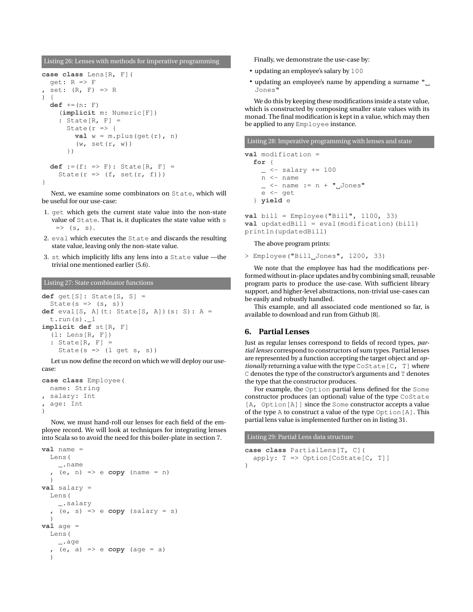Listing 26: Lenses with methods for imperative programming

```
case class Lens[R, F](
  qet: R => Fset: (R, F) \Rightarrow R) {
  def +=(n: F)
    (implicit m: Numeric[F])
    : State[R, F] =State(r => {
         val w = m.plus(qet(r), n)(w, set(r, w))
      })
  def :=(f: => F): State[R, F] =
    State(r \Rightarrow (f, set(r, f)))
}
```
Next, we examine some combinators on State, which will be useful for our use-case:

- 1. get which gets the current state value into the non-state value of State. That is, it duplicates the state value with s  $\Rightarrow$  (s, s).
- 2. eval which executes the State and discards the resulting state value, leaving only the non-state value.
- 3. st which implicitly lifts any lens into a State value —the trivial one mentioned earlier [\(5.6\)](#page-5-2).

Listing 27: State combinator functions

```
def get[S]: State[S, S] =
  State(s \Rightarrow (s, s))
def eval[S, A](t: State[S, A])(s: S): A =
  t.run(s).1implicit def st[R, F]
  (l: Lens[R, F]): State[R, F] =State(s => (1 get s, s))
```
Let us now define the record on which we will deploy our usecase:

```
case class Employee(
 name: String
 salary: Int
, age: Int
)
```
Now, we must hand-roll our lenses for each field of the employee record. We will look at techniques for integrating lenses into Scala so to avoid the need for this boiler-plate in section [7.](#page-8-0)

```
val name =
  Lens(
     _.name
     , (e, n) => e copy (name = n)
  \lambdaval salary =
  Lens(
      _.salary
     (e, s) \Rightarrow e \text{ copy (salary = s)}\lambdaval age =
  Lens(
     _.age
     , (e, a) => e copy (age = a)
  )
```
Finally, we demonstrate the use-case by:

- updating an employee's salary by 100
- updating an employee's name by appending a surname " Jones"

We do this by keeping these modifications inside a state value, which is constructed by composing smaller state values with its monad. The final modification is kept in a value, which may then be applied to any Employee instance.

Listing 28: Imperative programming with lenses and state

```
val modification =
  for {
    - <- salary += 100
    n <- name
    \angle <- name := n + " Jones"
    e <- get
  } yield e
```

```
val bill = Employee("Bill", 1100, 33)
val updatedBill = eval(modification)(bill)
println(updatedBill)
```
The above program prints:

```
> Employee("Bill Jones", 1200, 33)
```
We note that the employee has had the modifications performed without in-place updates and by combining small, reusable program parts to produce the use-case. With sufficient library support, and higher-level abstractions, non-trivial use-cases can be easily and robustly handled.

This example, and all associated code mentioned so far, is available to download and run from Github [\[8](#page-9-6)].

# **6. Partial Lenses**

Just as regular lenses correspond to fields of record types, *partial lenses* correspond to constructors of sum types. Partial lenses are represented by a function accepting the target object and *optionally* returning a value with the type CoState [C, T] where C denotes the type of the constructor's arguments and T denotes the type that the constructor produces.

For example, the Option partial lens defined for the Some constructor produces (an optional) value of the type CoState [A, Option[A]] since the Some constructor accepts a value of the type A to construct a value of the type Option[A]. This partial lens value is implemented further on in listing [31.](#page-7-0)

Listing 29: Partial Lens data structure

```
case class PartialLens[T, C](
  apply: T => Option[CoState[C, T]]
)
```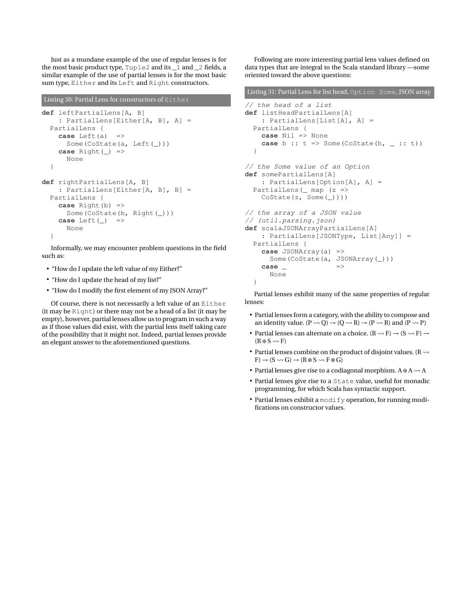Just as a mundane example of the use of regular lenses is for the most basic product type, Tuple2 and its \_1 and \_2 fields, a similar example of the use of partial lenses is for the most basic sum type, Either and its Left and Right constructors.

#### Listing 30: Partial Lens for constructors of Either

```
def leftPartialLens[A, B]
   : PartialLens[Either[A, B], A] =
  PartialLens {
    case Left(a) =>
      Some(CoState(a, Left(_)))
    case Right(_) =>
      None
  }
def rightPartialLens[A, B]
    : PartialLens[Either[A, B], B] =
  PartialLens {
    case Right(b) =>
      Some(CoState(b, Right(_)))
    case Left(_) =>
      None
  }
```
Informally, we may encounter problem questions in the field such as:

- "How do I update the left value of my Either?"
- "How do I update the head of my list?"
- "How do I modify the first element of my JSON Array?"

Of course, there is not necessarily a left value of an Either (it may be Right) or there may not be a head of a list (it may be empty), however, partial lenses allow us to program in such a way as if those values did exist, with the partial lens itself taking care of the possibility that it might not. Indeed, partial lenses provide an elegant answer to the aforementioned questions.

Following are more interesting partial lens values defined on data types that are integral to the Scala standard library —some oriented toward the above questions:

```
Listing 31: Partial Lens for list head, Option Some, JSON array
// the head of a list
def listHeadPartialLens[A]
    : PartialLens[List[A], A] =
  PartialLens {
    case Nil => None
    case h :: t \Rightarrow Some(CoState(h, _ :: t))
  }
// the Some value of an Option
def somePartialLens[A]
    : PartialLens[Option[A], A] =
  PartialLens(_ map (z =>
    CoState(z, Some(_))))
// the array of a JSON value
// (util.parsing.json)
def scalaJSONArrayPartialLens[A]
    : PartialLens[JSONType, List[Any]] =
  PartialLens {
    case JSONArray(a) =>
      Some(CoState(a, JSONArray(_)))
    case \RightarrowNone
  }
```
Partial lenses exhibit many of the same properties of regular lenses:

- Partial lenses form a category, with the ability to compose and an identity value.  $(P \rightsquigarrow Q) \rightarrow (Q \rightsquigarrow R) \rightarrow (P \rightsquigarrow R)$  and  $(P \rightsquigarrow P)$
- Partial lenses can alternate on a choice.  $(R \rightarrow F) \rightarrow (S \rightarrow F) \rightarrow$  $(R \oplus S \leadsto F)$
- Partial lenses combine on the product of disjoint values. ( $R \rightarrow$  $F$ )  $\rightarrow$  (S  $\rightsquigarrow$  G)  $\rightarrow$  (R  $\otimes$  S  $\rightsquigarrow$  F  $\otimes$  G)
- Partial lenses give rise to a codiagonal morphism.  $A \oplus A \rightarrow A$
- Partial lenses give rise to a State value, useful for monadic programming, for which Scala has syntactic support.
- Partial lenses exhibit a modify operation, for running modifications on constructor values.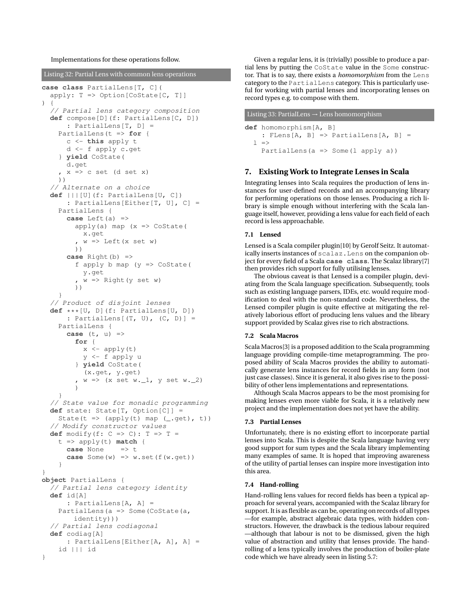Implementations for these operations follow.

Listing 32: Partial Lens with common lens operations

```
case class PartialLens[T, C](
  apply: T \Rightarrow Option[Costate[C, T]]) {
  // Partial lens category composition
  def compose[D](f: PartialLens[C, D])
       : PartialLens[T, D] =
    PartialLens(t => for {
      c <- this apply t
      d <- f apply c.get
    } yield CoState(
      d.get
     x \Rightarrow c set (d set x)
    ))
  // Alternate on a choice
  def |||[U](f: PartialLens[U, C])
       : PartialLens[Either[T, U], C] =
    PartialLens {
      case Left(a) =>
         apply(a) map (x \Rightarrow Costate)x.get
          w \implies Left(x set w)
         ))
      case Right(b) =>
         f apply b map (y \Rightarrow \text{Costate})y.get
          , w => Right(y set w)
         ))
    }
  // Product of disjoint lenses
  def ***[U, D](f: PartialLens[U, D])
      : PartialLens[(T, U), (C, D)] =
    PartialLens {
      case (t, u) =>
         for {
           x \leftarrow apply(t)y <- f apply u
         } yield CoState(
           (x.get, y.get)
          w \implies (x \text{ set } w \ldots 1, y \text{ set } w \ldots 2))
    }
  // State value for monadic programming
  def state: State[T, Option[C]] =
    State(t => (apply(t) map (-get), t))
  // Modify constructor values
  def modify(f: C \implies C): T \implies T =t => apply(t) match {
      case None \Rightarrow \uparrowcase Some(w) => w.set(f(w.get))
    }
}
object PartialLens {
  // Partial lens category identity
  def id[A]
      : PartialLens[A, A] =
    PartialLens(a => Some(CoState(a,
        identity)))
  // Partial lens codiagonal
  def codiag[A]
       : PartialLens[Either[A, A], A] =
    id ||| id
}
```
Given a regular lens, it is (trivially) possible to produce a partial lens by putting the CoState value in the Some constructor. That is to say, there exists a *homomorphism* from the Lens category to the PartialLens category. This is particularly useful for working with partial lenses and incorporating lenses on record types e.g. to compose with them.

# Listing 33: PartialLens  $\rightarrow$  Lens homomorphism

```
def homomorphism[A, B]
     : FLens[A, B] \Rightarrow PartialLens[A, B] =
  \vert \quad \RightarrowPartialLens(a => Some(l apply a))
```
## <span id="page-8-0"></span>**7. Existing Work to Integrate Lenses in Scala**

Integrating lenses into Scala requires the production of lens instances for user-defined records and an accompanying library for performing operations on those lenses. Producing a rich library is simple enough without interfering with the Scala language itself, however, providing a lens value for each field of each record is less approachable.

### **7.1 Lensed**

Lensed is a Scala compiler plugin[\[10\]](#page-9-7) by Gerolf Seitz. It automatically inserts instances of scalaz. Lens on the companion object for every field of a Scala **case class**. The Scalaz library[\[7](#page-9-8)] then provides rich support for fully utilising lenses.

The obvious caveat is that Lensed is a compiler plugin, deviating from the Scala language specification. Subsequently, tools such as existing language parsers, IDEs, etc. would require modification to deal with the non-standard code. Nevertheless, the Lensed compiler plugin is quite effective at mitigating the relatively laborious effort of producing lens values and the library support provided by Scalaz gives rise to rich abstractions.

#### **7.2 Scala Macros**

Scala Macros[\[3\]](#page-9-9) is a proposed addition to the Scala programming language providing compile-time metaprogramming. The proposed ability of Scala Macros provides the ability to automatically generate lens instances for record fields in any form (not just case classes). Since it is general, it also gives rise to the possibility of other lens implementations and representations.

Although Scala Macros appears to be the most promising for making lenses even more viable for Scala, it is a relatively new project and the implementation does not yet have the ability.

## **7.3 Partial Lenses**

Unfortunately, there is no existing effort to incorporate partial lenses into Scala. This is despite the Scala language having very good support for sum types and the Scala library implementing many examples of same. It is hoped that improving awareness of the utility of partial lenses can inspire more investigation into this area.

#### **7.4 Hand-rolling**

Hand-rolling lens values for record fields has been a typical approach for several years, accompanied with the Scalaz library for support. It is as flexible as can be, operating on records of all types —for example, abstract algebraic data types, with hidden constructors. However, the drawback is the tedious labour required —although that labour is not to be dismissed, given the high value of abstraction and utility that lenses provide. The handrolling of a lens typically involves the production of boiler-plate code which we have already seen in listing [5.7:](#page-6-0)